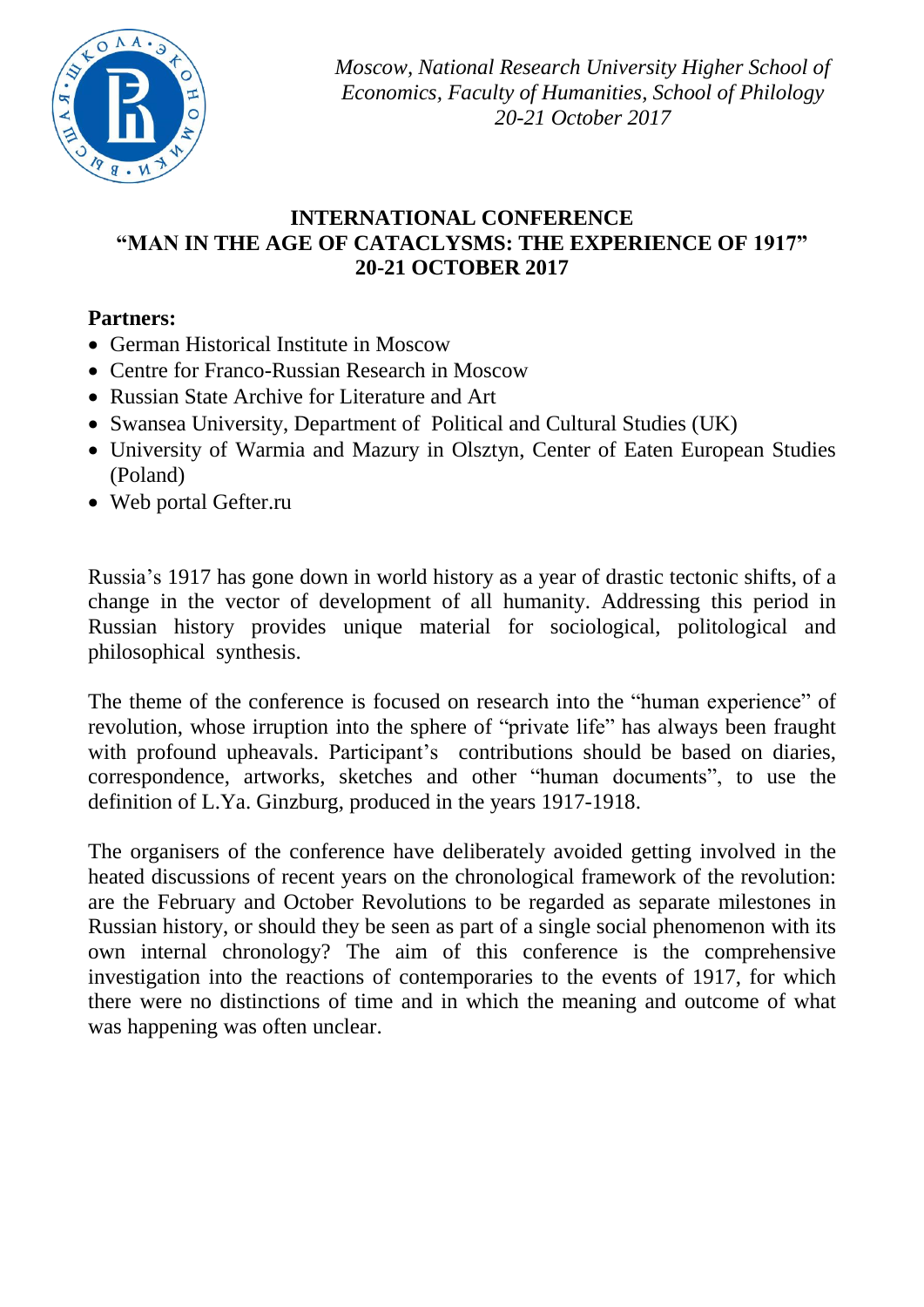

*Moscow, National Research University Higher School of Economics, Faculty of Humanities, School of Philology 20-21 October 2017*

## **INTERNATIONAL CONFERENCE "MAN IN THE AGE OF CATACLYSMS: THE EXPERIENCE OF 1917" 20-21 OCTOBER 2017**

# **Partners:**

- German Historical Institute in Moscow
- Centre for Franco-Russian Research in Moscow
- Russian State Archive for Literature and Art
- Swansea University, Department of Political and Cultural Studies (UK)
- University of Warmia and Mazury in Olsztyn, Center of Eaten European Studies (Poland)
- Web portal Gefter.ru

Russia's 1917 has gone down in world history as a year of drastic tectonic shifts, of a change in the vector of development of all humanity. Addressing this period in Russian history provides unique material for sociological, politological and philosophical synthesis.

The theme of the conference is focused on research into the "human experience" of revolution, whose irruption into the sphere of "private life" has always been fraught with profound upheavals. Participant's contributions should be based on diaries, correspondence, artworks, sketches and other "human documents", to use the definition of L.Ya. Ginzburg, produced in the years 1917-1918.

The organisers of the conference have deliberately avoided getting involved in the heated discussions of recent years on the chronological framework of the revolution: are the February and October Revolutions to be regarded as separate milestones in Russian history, or should they be seen as part of a single social phenomenon with its own internal chronology? The aim of this conference is the comprehensive investigation into the reactions of contemporaries to the events of 1917, for which there were no distinctions of time and in which the meaning and outcome of what was happening was often unclear.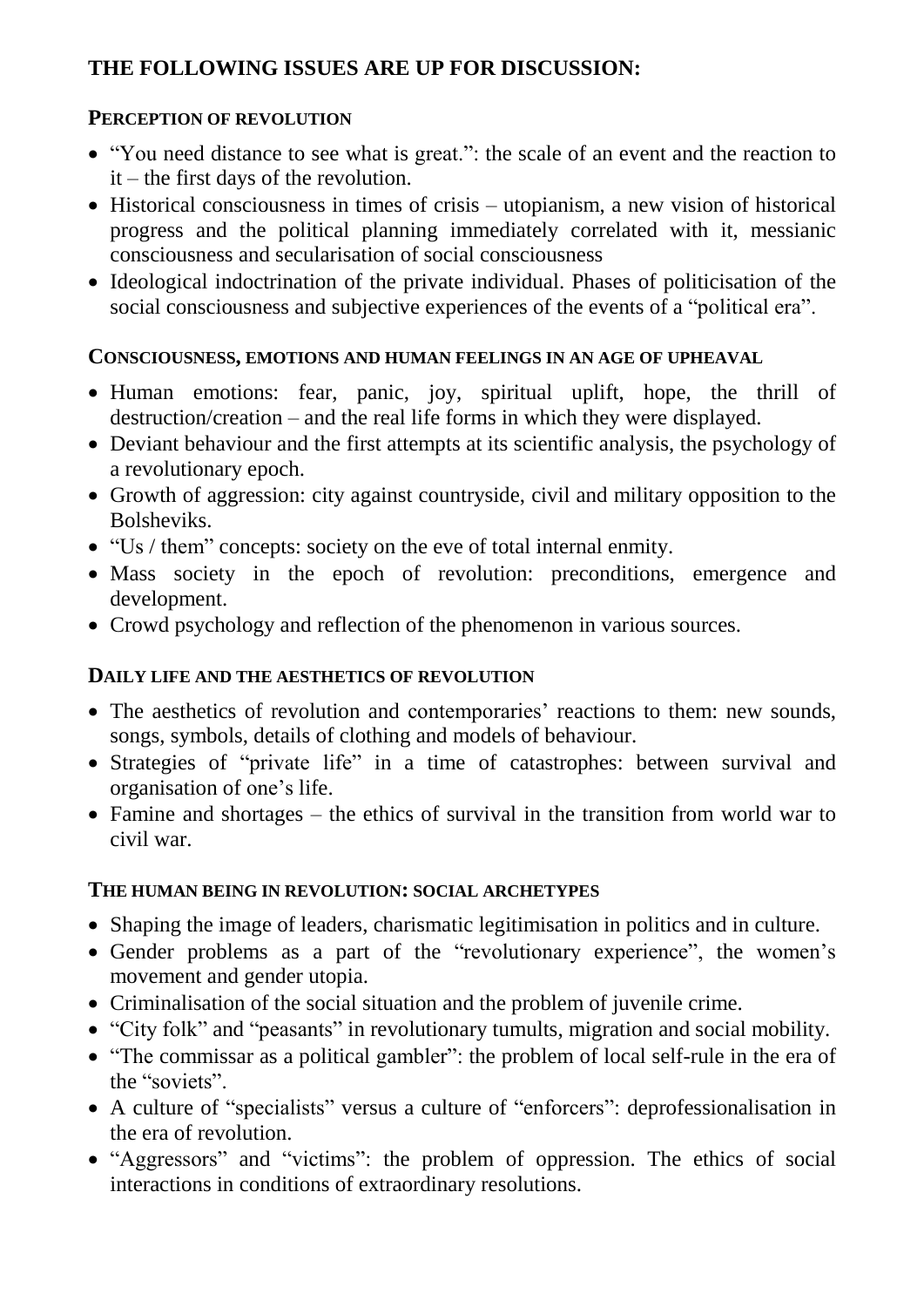# **THE FOLLOWING ISSUES ARE UP FOR DISCUSSION:**

## **PERCEPTION OF REVOLUTION**

- "You need distance to see what is great.": the scale of an event and the reaction to it – the first days of the revolution.
- Historical consciousness in times of crisis utopianism, a new vision of historical progress and the political planning immediately correlated with it, messianic consciousness and secularisation of social consciousness
- Ideological indoctrination of the private individual. Phases of politicisation of the social consciousness and subjective experiences of the events of a "political era".

## **CONSCIOUSNESS, EMOTIONS AND HUMAN FEELINGS IN AN AGE OF UPHEAVAL**

- Human emotions: fear, panic, joy, spiritual uplift, hope, the thrill of destruction/creation – and the real life forms in which they were displayed.
- Deviant behaviour and the first attempts at its scientific analysis, the psychology of a revolutionary epoch.
- Growth of aggression: city against countryside, civil and military opposition to the Bolsheviks.
- "Us / them" concepts: society on the eve of total internal enmity.
- Mass society in the epoch of revolution: preconditions, emergence and development.
- Crowd psychology and reflection of the phenomenon in various sources.

# **DAILY LIFE AND THE AESTHETICS OF REVOLUTION**

- The aesthetics of revolution and contemporaries' reactions to them: new sounds, songs, symbols, details of clothing and models of behaviour.
- Strategies of "private life" in a time of catastrophes: between survival and organisation of one's life.
- Famine and shortages the ethics of survival in the transition from world war to civil war.

# **THE HUMAN BEING IN REVOLUTION: SOCIAL ARCHETYPES**

- Shaping the image of leaders, charismatic legitimisation in politics and in culture.
- Gender problems as a part of the "revolutionary experience", the women's movement and gender utopia.
- Criminalisation of the social situation and the problem of juvenile crime.
- "City folk" and "peasants" in revolutionary tumults, migration and social mobility.
- "The commissar as a political gambler": the problem of local self-rule in the era of the "soviets".
- A culture of "specialists" versus a culture of "enforcers": deprofessionalisation in the era of revolution.
- "Aggressors" and "victims": the problem of oppression. The ethics of social interactions in conditions of extraordinary resolutions.